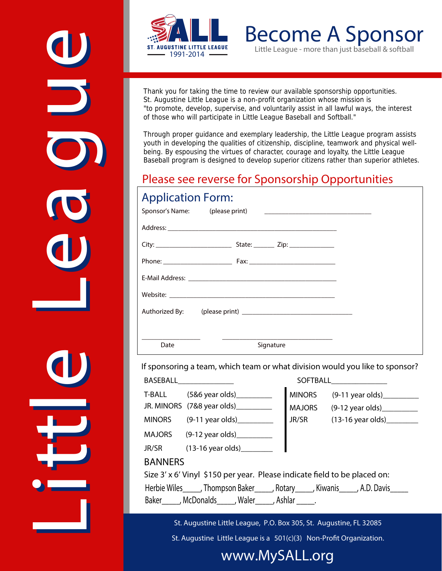



Become A Sponsor *Little League - more than just baseball & softball*

Thank you for taking the time to review our available sponsorship opportunities. St. Augustine Little League is a non-profit organization whose mission is "to promote, develop, supervise, and voluntarily assist in all lawful ways, the interest of those who will participate in Little League Baseball and Softball."

Through proper guidance and exemplary leadership, the Little League program assists youth in developing the qualities of citizenship, discipline, teamwork and physical wellbeing. By espousing the virtues of character, courage and loyalty, the Little League Baseball program is designed to develop superior citizens rather than superior athletes.

#### Please see reverse for Sponsorship Opportunities

#### Application Form:

| Sponsor's Name: (please print) | <u> 2000 - Jan James James Jan James James James James James James James James James James James James James James</u> |
|--------------------------------|------------------------------------------------------------------------------------------------------------------------|
|                                |                                                                                                                        |
|                                |                                                                                                                        |
|                                |                                                                                                                        |
|                                |                                                                                                                        |
|                                |                                                                                                                        |
|                                |                                                                                                                        |
|                                |                                                                                                                        |
| Date                           | Signature                                                                                                              |

**If sponsoring a team, which team or what division would you like to sponsor?**

|                                                                                        |                                      | <b>SOFTBALL</b> |                            |  |
|----------------------------------------------------------------------------------------|--------------------------------------|-----------------|----------------------------|--|
| T-BALL                                                                                 | $(5&6$ year olds)                    | <b>MINORS</b>   | $(9-11 \text{ year olds})$ |  |
|                                                                                        | JR. MINORS (7&8 year olds)__________ |                 | MAJORS (9-12 year olds)    |  |
| <b>MINORS</b>                                                                          | (9-11 year olds)___________          |                 | JR/SR 	(13-16 year olds)   |  |
|                                                                                        | MAJORS (9-12 year olds)              |                 |                            |  |
|                                                                                        | JR/SR (13-16 year olds) _____        |                 |                            |  |
| <b>BANNERS</b>                                                                         |                                      |                 |                            |  |
| Size 3' x 6' Vinyl \$150 per year. Please indicate field to be placed on:              |                                      |                 |                            |  |
| Herbie Wiles______, Thompson Baker______, Rotary______, Kiwanis______, A.D. Davis_____ |                                      |                 |                            |  |
| Baker McDonalds Maler Ashlar                                                           |                                      |                 |                            |  |

St. Augustine Little League, P.O. Box 305, St. Augustine, FL 32085

St. Augustine Little League is a  $501(c)(3)$  Non-Profit Organization.

#### www.MySALL.org